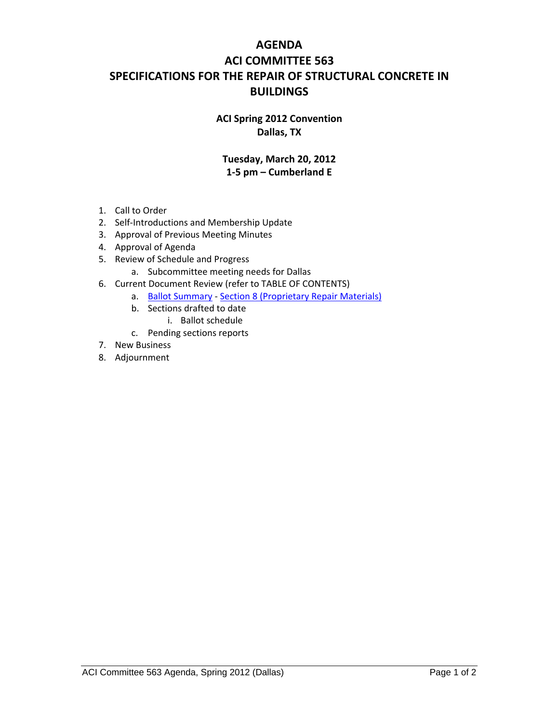## **AGENDA ACI COMMITTEE 563 SPECIFICATIONS FOR THE REPAIR OF STRUCTURAL CONCRETE IN BUILDINGS**

## **ACI Spring 2012 Convention Dallas, TX**

## **Tuesday, March 20, 2012 1‐5 pm – Cumberland E**

- 1. Call to Order
- 2. Self‐Introductions and Membership Update
- 3. Approval of Previous Meeting Minutes
- 4. Approval of Agenda
- 5. Review of Schedule and Progress
	- a. Subcommittee meeting needs for Dallas
- 6. Current Document Review (refer to TABLE OF CONTENTS)
	- a. Ballot Summary ‐ Section 8 (Proprietary Repair Materials)
	- b. Sections drafted to date
		- i. Ballot schedule
	- c. Pending sections reports
- 7. New Business
- 8. Adjournment